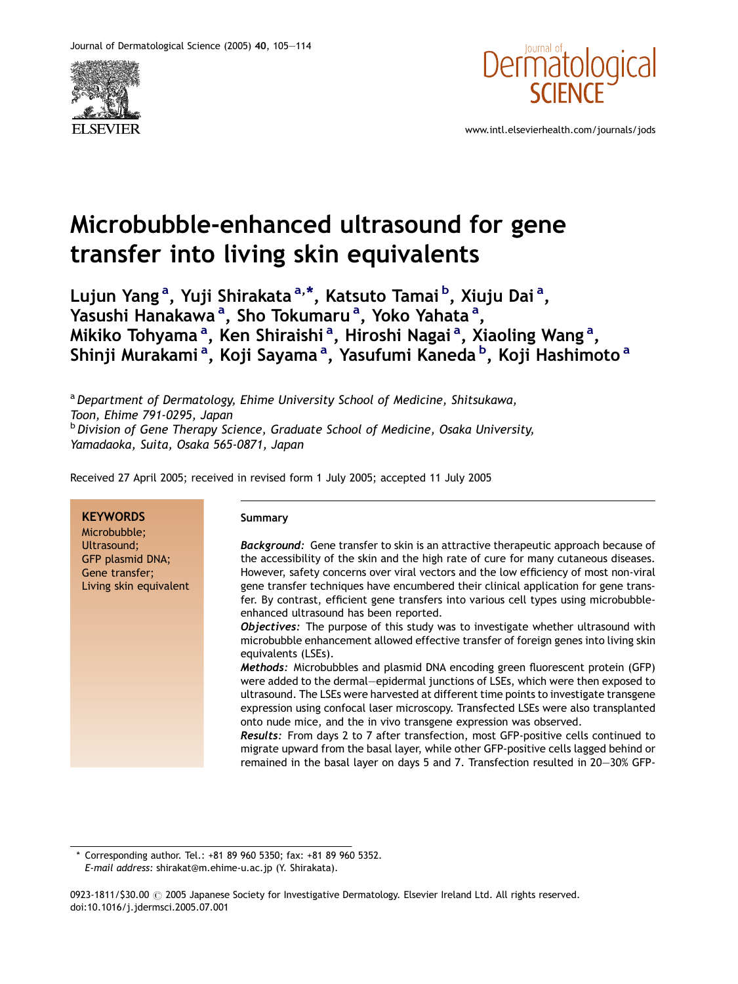



www.intl.elsevierhealth.com/journals/jods

# Microbubble-enhanced ultrasound for gene transfer into living skin equivalents

Lujun Yang<sup>a</sup>, Yuji Shirakata<sup>a,\*</sup>, Katsuto Tamai<sup>b</sup>, Xiuju Dai<sup>a</sup>, Yasushi Hanakawa<sup>a</sup>, Sho Tokumaru<sup>a</sup>, Yoko Yahata<sup>a</sup>, Mikiko Tohyamaª, Ken Shiraishiª, Hiroshi Nagaiª, Xiaoling Wangª, Shinji Murakami<sup>a</sup>, Koji Sayama<sup>a</sup>, Yasufumi Kaneda<sup>b</sup>, Koji Hashimoto<sup>a</sup>

<sup>a</sup> Department of Dermatology, Ehime University School of Medicine, Shitsukawa, Toon, Ehime 791-0295, Japan  $b$  Division of Gene Therapy Science, Graduate School of Medicine, Osaka University, Yamadaoka, Suita, Osaka 565-0871, Japan

Received 27 April 2005; received in revised form 1 July 2005; accepted 11 July 2005

| <b>KEYWORDS</b><br>Microbubble;                                             | Summary                                                                                                                                                                                                                                                                                                                                                                                                                                                                                                                                                                                                                                                                                                                   |
|-----------------------------------------------------------------------------|---------------------------------------------------------------------------------------------------------------------------------------------------------------------------------------------------------------------------------------------------------------------------------------------------------------------------------------------------------------------------------------------------------------------------------------------------------------------------------------------------------------------------------------------------------------------------------------------------------------------------------------------------------------------------------------------------------------------------|
| Ultrasound;<br>GFP plasmid DNA;<br>Gene transfer;<br>Living skin equivalent | <b>Background:</b> Gene transfer to skin is an attractive therapeutic approach because of<br>the accessibility of the skin and the high rate of cure for many cutaneous diseases.<br>However, safety concerns over viral vectors and the low efficiency of most non-viral<br>gene transfer techniques have encumbered their clinical application for gene trans-<br>fer. By contrast, efficient gene transfers into various cell types using microbubble-<br>enhanced ultrasound has been reported.<br>Objectives: The purpose of this study was to investigate whether ultrasound with<br>microbubble enhancement allowed effective transfer of foreign genes into living skin                                           |
|                                                                             | equivalents (LSEs).<br>Methods: Microbubbles and plasmid DNA encoding green fluorescent protein (GFP)<br>were added to the dermal-epidermal junctions of LSEs, which were then exposed to<br>ultrasound. The LSEs were harvested at different time points to investigate transgene<br>expression using confocal laser microscopy. Transfected LSEs were also transplanted<br>onto nude mice, and the in vivo transgene expression was observed.<br><b>Results:</b> From days 2 to 7 after transfection, most GFP-positive cells continued to<br>migrate upward from the basal layer, while other GFP-positive cells lagged behind or<br>remained in the basal layer on days 5 and 7. Transfection resulted in 20-30% GFP- |

\* Corresponding author. Tel.: +81 89 960 5350; fax: +81 89 960 5352. E-mail address: shirakat@m.ehime-u.ac.jp (Y. Shirakata).

0923-1811/\$30.00 @ 2005 Japanese Society for Investigative Dermatology. Elsevier Ireland Ltd. All rights reserved. doi:10.1016/j.jdermsci.2005.07.001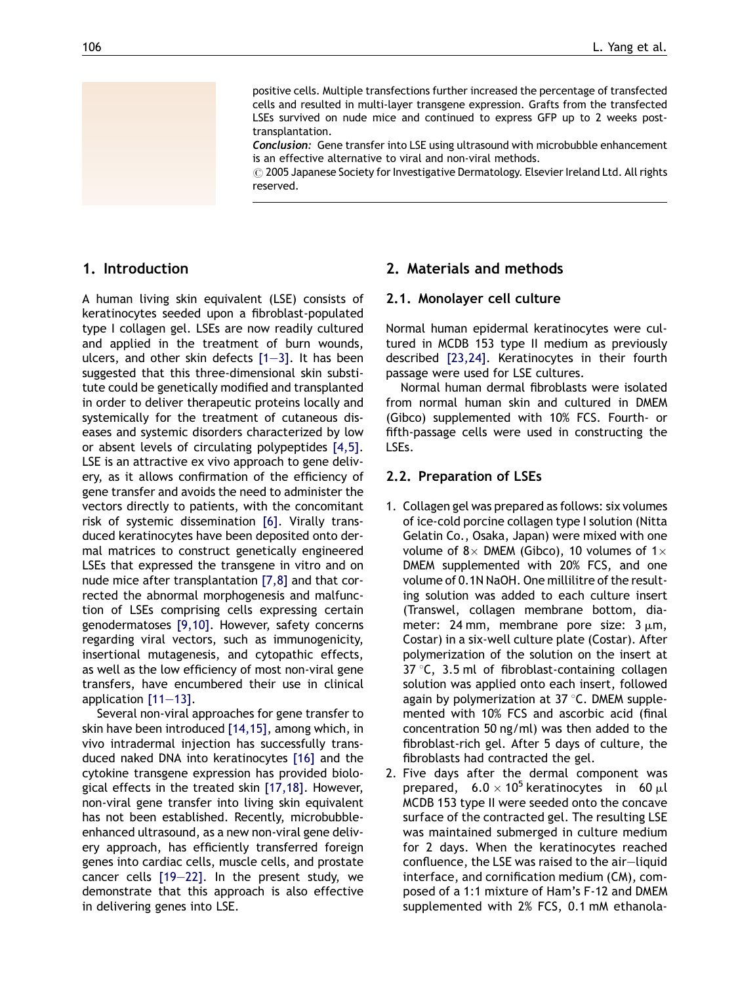positive cells. Multiple transfections further increased the percentage of transfected cells and resulted in multi-layer transgene expression. Grafts from the transfected LSEs survived on nude mice and continued to express GFP up to 2 weeks posttransplantation.

**Conclusion:** Gene transfer into LSE using ultrasound with microbubble enhancement is an effective alternative to viral and non-viral methods.

 $\odot$  2005 Japanese Society for Investigative Dermatology. Elsevier Ireland Ltd. All rights reserved.

#### 1. Introduction

A human living skin equivalent (LSE) consists of keratinocytes seeded upon a fibroblast-populated type I collagen gel. LSEs are now readily cultured and applied in the treatment of burn wounds, ulcers, and other skin defects  $[1-3]$ . It has been suggested that this three-dimensional skin substitute could be genetically modified and transplanted in order to deliver therapeutic proteins locally and systemically for the treatment of cutaneous diseases and systemic disorders characterized by low or absent levels of circulating polypeptides [\[4,5\].](#page-8-0) LSE is an attractive ex vivo approach to gene delivery, as it allows confirmation of the efficiency of gene transfer and avoids the need to administer the vectors directly to patients, with the concomitant risk of systemic dissemination [\[6\]](#page-8-0). Virally transduced keratinocytes have been deposited onto dermal matrices to construct genetically engineered LSEs that expressed the transgene in vitro and on nude mice after transplantation [\[7,8\]](#page-8-0) and that corrected the abnormal morphogenesis and malfunction of LSEs comprising cells expressing certain genodermatoses [\[9,10\]](#page-8-0). However, safety concerns regarding viral vectors, such as immunogenicity, insertional mutagenesis, and cytopathic effects, as well as the low efficiency of most non-viral gene transfers, have encumbered their use in clinical application [\[11—13\]](#page-8-0).

Several non-viral approaches for gene transfer to skin have been introduced [\[14,15\],](#page-8-0) among which, in vivo intradermal injection has successfully transduced naked DNA into keratinocytes [\[16\]](#page-8-0) and the cytokine transgene expression has provided biological effects in the treated skin [\[17,18\]](#page-8-0). However, non-viral gene transfer into living skin equivalent has not been established. Recently, microbubbleenhanced ultrasound, as a new non-viral gene delivery approach, has efficiently transferred foreign genes into cardiac cells, muscle cells, and prostate cancer cells [\[19—22\].](#page-8-0) In the present study, we demonstrate that this approach is also effective in delivering genes into LSE.

### 2. Materials and methods

#### 2.1. Monolayer cell culture

Normal human epidermal keratinocytes were cultured in MCDB 153 type II medium as previously described [\[23,24\]](#page-8-0). Keratinocytes in their fourth passage were used for LSE cultures.

Normal human dermal fibroblasts were isolated from normal human skin and cultured in DMEM (Gibco) supplemented with 10% FCS. Fourth- or fifth-passage cells were used in constructing the LSEs.

#### 2.2. Preparation of LSEs

- 1. Collagen gel was prepared as follows: six volumes of ice-cold porcine collagen type I solution (Nitta Gelatin Co., Osaka, Japan) were mixed with one volume of 8 $\times$  DMEM (Gibco), 10 volumes of 1 $\times$ DMEM supplemented with 20% FCS, and one volume of 0.1N NaOH. One millilitre of the resulting solution was added to each culture insert (Transwel, collagen membrane bottom, diameter: 24 mm, membrane pore size:  $3 \mu m$ , Costar) in a six-well culture plate (Costar). After polymerization of the solution on the insert at 37 $\degree$ C, 3.5 ml of fibroblast-containing collagen solution was applied onto each insert, followed again by polymerization at  $37^{\circ}$ C. DMEM supplemented with 10% FCS and ascorbic acid (final concentration 50 ng/ml) was then added to the fibroblast-rich gel. After 5 days of culture, the fibroblasts had contracted the gel.
- 2. Five days after the dermal component was prepared,  $6.0 \times 10^5$  keratinocytes in 60  $\mu$ l MCDB 153 type II were seeded onto the concave surface of the contracted gel. The resulting LSE was maintained submerged in culture medium for 2 days. When the keratinocytes reached confluence, the LSE was raised to the air—liquid interface, and cornification medium (CM), composed of a 1:1 mixture of Ham's F-12 and DMEM supplemented with 2% FCS, 0.1 mM ethanola-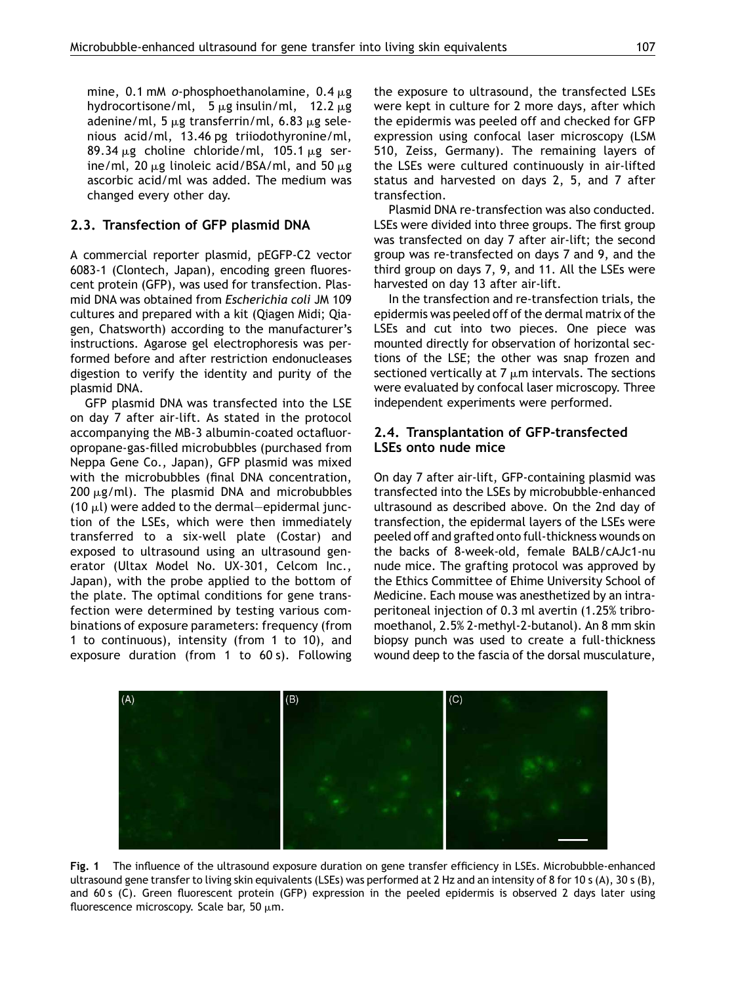<span id="page-2-0"></span>mine, 0.1 mM o-phosphoethanolamine,  $0.4 \mu$ g hydrocortisone/ml,  $5 \mu$ g insulin/ml, 12.2  $\mu$ g adenine/ml, 5  $\mu$ g transferrin/ml, 6.83  $\mu$ g selenious acid/ml, 13.46 pg triiodothyronine/ml, 89.34  $\mu$ g choline chloride/ml, 105.1  $\mu$ g serine/ml, 20  $\mu$ g linoleic acid/BSA/ml, and 50  $\mu$ g ascorbic acid/ml was added. The medium was changed every other day.

# 2.3. Transfection of GFP plasmid DNA

A commercial reporter plasmid, pEGFP-C2 vector 6083-1 (Clontech, Japan), encoding green fluorescent protein (GFP), was used for transfection. Plasmid DNA was obtained from Escherichia coli JM 109 cultures and prepared with a kit (Qiagen Midi; Qiagen, Chatsworth) according to the manufacturer's instructions. Agarose gel electrophoresis was performed before and after restriction endonucleases digestion to verify the identity and purity of the plasmid DNA.

GFP plasmid DNA was transfected into the LSE on day 7 after air-lift. As stated in the protocol accompanying the MB-3 albumin-coated octafluoropropane-gas-filled microbubbles (purchased from Neppa Gene Co., Japan), GFP plasmid was mixed with the microbubbles (final DNA concentration,  $200 \mu$ g/ml). The plasmid DNA and microbubbles (10  $\mu$ l) were added to the dermal—epidermal junction of the LSEs, which were then immediately transferred to a six-well plate (Costar) and exposed to ultrasound using an ultrasound generator (Ultax Model No. UX-301, Celcom Inc., Japan), with the probe applied to the bottom of the plate. The optimal conditions for gene transfection were determined by testing various combinations of exposure parameters: frequency (from 1 to continuous), intensity (from 1 to 10), and exposure duration (from 1 to 60 s). Following the exposure to ultrasound, the transfected LSEs were kept in culture for 2 more days, after which the epidermis was peeled off and checked for GFP expression using confocal laser microscopy (LSM 510, Zeiss, Germany). The remaining layers of the LSEs were cultured continuously in air-lifted status and harvested on days 2, 5, and 7 after transfection.

Plasmid DNA re-transfection was also conducted. LSEs were divided into three groups. The first group was transfected on day 7 after air-lift; the second group was re-transfected on days 7 and 9, and the third group on days 7, 9, and 11. All the LSEs were harvested on day 13 after air-lift.

In the transfection and re-transfection trials, the epidermis was peeled off of the dermal matrix of the LSEs and cut into two pieces. One piece was mounted directly for observation of horizontal sections of the LSE; the other was snap frozen and sectioned vertically at  $7 \mu m$  intervals. The sections were evaluated by confocal laser microscopy. Three independent experiments were performed.

### 2.4. Transplantation of GFP-transfected LSEs onto nude mice

On day 7 after air-lift, GFP-containing plasmid was transfected into the LSEs by microbubble-enhanced ultrasound as described above. On the 2nd day of transfection, the epidermal layers of the LSEs were peeled off and grafted onto full-thickness wounds on the backs of 8-week-old, female BALB/cAJc1-nu nude mice. The grafting protocol was approved by the Ethics Committee of Ehime University School of Medicine. Each mouse was anesthetized by an intraperitoneal injection of 0.3 ml avertin (1.25% tribromoethanol, 2.5% 2-methyl-2-butanol). An 8 mm skin biopsy punch was used to create a full-thickness wound deep to the fascia of the dorsal musculature,



Fig. 1 The influence of the ultrasound exposure duration on gene transfer efficiency in LSEs. Microbubble-enhanced ultrasound gene transfer to living skin equivalents (LSEs) was performed at 2 Hz and an intensity of 8 for 10 s (A), 30 s (B), and 60 s (C). Green fluorescent protein (GFP) expression in the peeled epidermis is observed 2 days later using fluorescence microscopy. Scale bar, 50  $\mu$ m.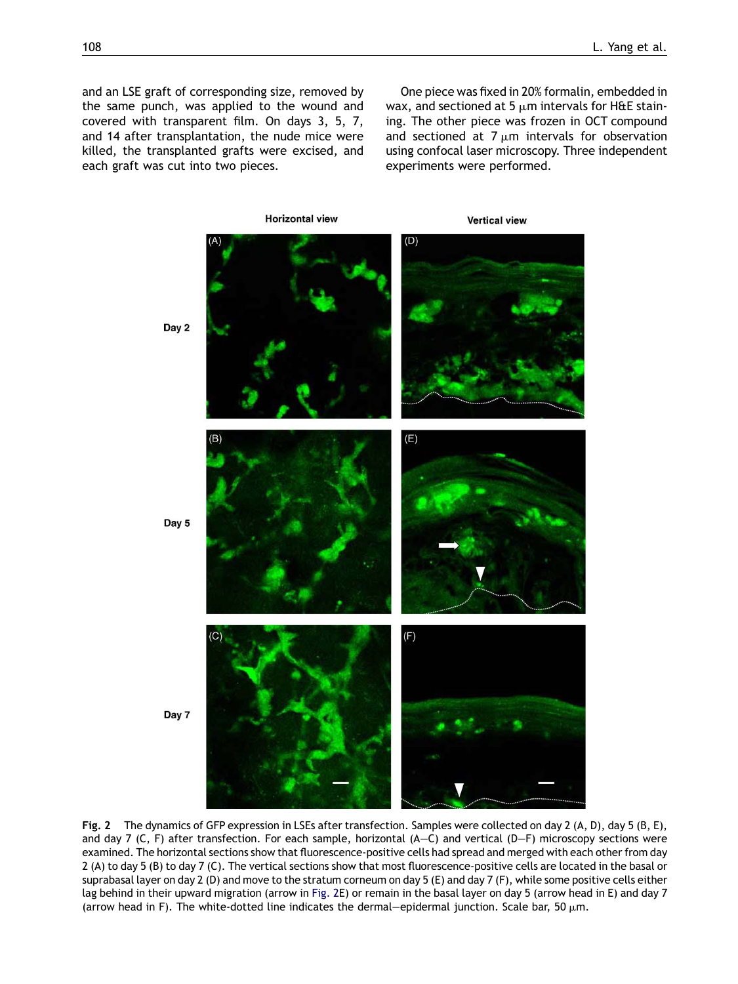<span id="page-3-0"></span>and an LSE graft of corresponding size, removed by the same punch, was applied to the wound and covered with transparent film. On days 3, 5, 7, and 14 after transplantation, the nude mice were killed, the transplanted grafts were excised, and each graft was cut into two pieces.

One piece was fixed in 20% formalin, embedded in wax, and sectioned at 5  $\mu$ m intervals for H&E staining. The other piece was frozen in OCT compound and sectioned at  $7 \mu m$  intervals for observation using confocal laser microscopy. Three independent experiments were performed.



Fig. 2 The dynamics of GFP expression in LSEs after transfection. Samples were collected on day 2 (A, D), day 5 (B, E), and day 7 (C, F) after transfection. For each sample, horizontal (A—C) and vertical (D—F) microscopy sections were examined. The horizontal sections show that fluorescence-positive cells had spread and merged with each other from day 2 (A) to day 5 (B) to day 7 (C). The vertical sections show that most fluorescence-positive cells are located in the basal or suprabasal layer on day 2 (D) and move to the stratum corneum on day 5 (E) and day 7 (F), while some positive cells either lag behind in their upward migration (arrow in Fig. 2E) or remain in the basal layer on day 5 (arrow head in E) and day 7 (arrow head in F). The white-dotted line indicates the dermal—epidermal junction. Scale bar, 50  $\mu$ m.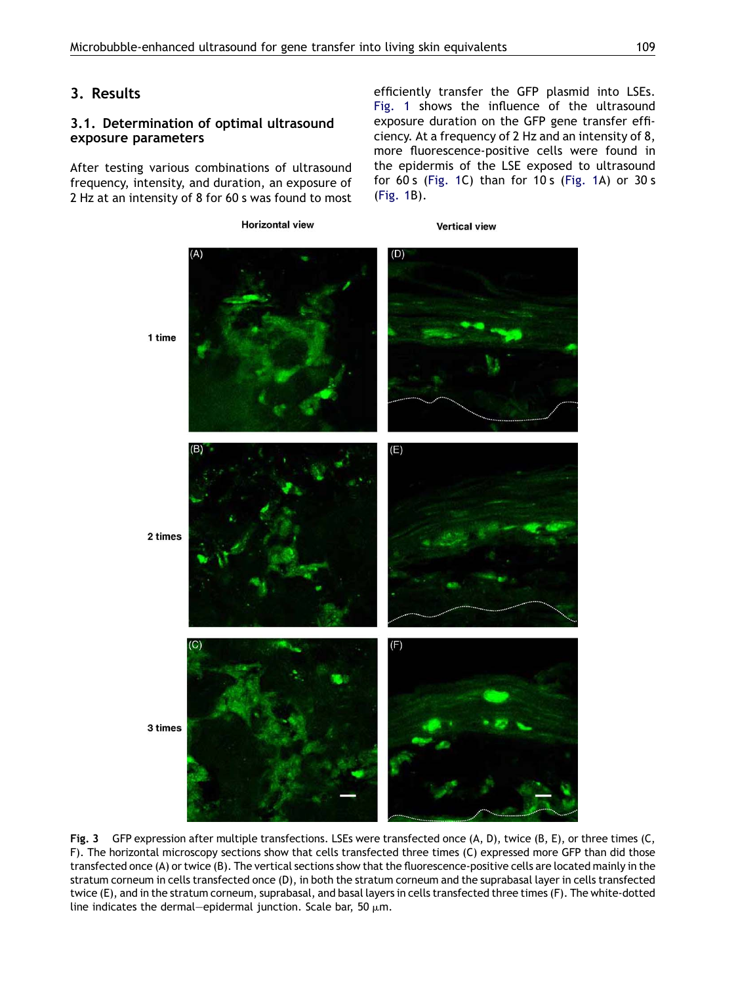# <span id="page-4-0"></span>3. Results

# 3.1. Determination of optimal ultrasound exposure parameters

After testing various combinations of ultrasound frequency, intensity, and duration, an exposure of 2 Hz at an intensity of 8 for 60 s was found to most efficiently transfer the GFP plasmid into LSEs. [Fig. 1](#page-2-0) shows the influence of the ultrasound exposure duration on the GFP gene transfer efficiency. At a frequency of 2 Hz and an intensity of 8, more fluorescence-positive cells were found in the epidermis of the LSE exposed to ultrasound for 60 s [\(Fig. 1C](#page-2-0)) than for 10 s ([Fig. 1](#page-2-0)A) or 30 s ([Fig. 1](#page-2-0)B).



Fig. 3 GFP expression after multiple transfections. LSEs were transfected once (A, D), twice (B, E), or three times (C, F). The horizontal microscopy sections show that cells transfected three times (C) expressed more GFP than did those transfected once (A) or twice (B). The vertical sections show that the fluorescence-positive cells are located mainly in the stratum corneum in cells transfected once (D), in both the stratum corneum and the suprabasal layer in cells transfected twice (E), and in the stratum corneum, suprabasal, and basal layers in cells transfected three times (F). The white-dotted line indicates the dermal—epidermal junction. Scale bar, 50  $\mu$ m.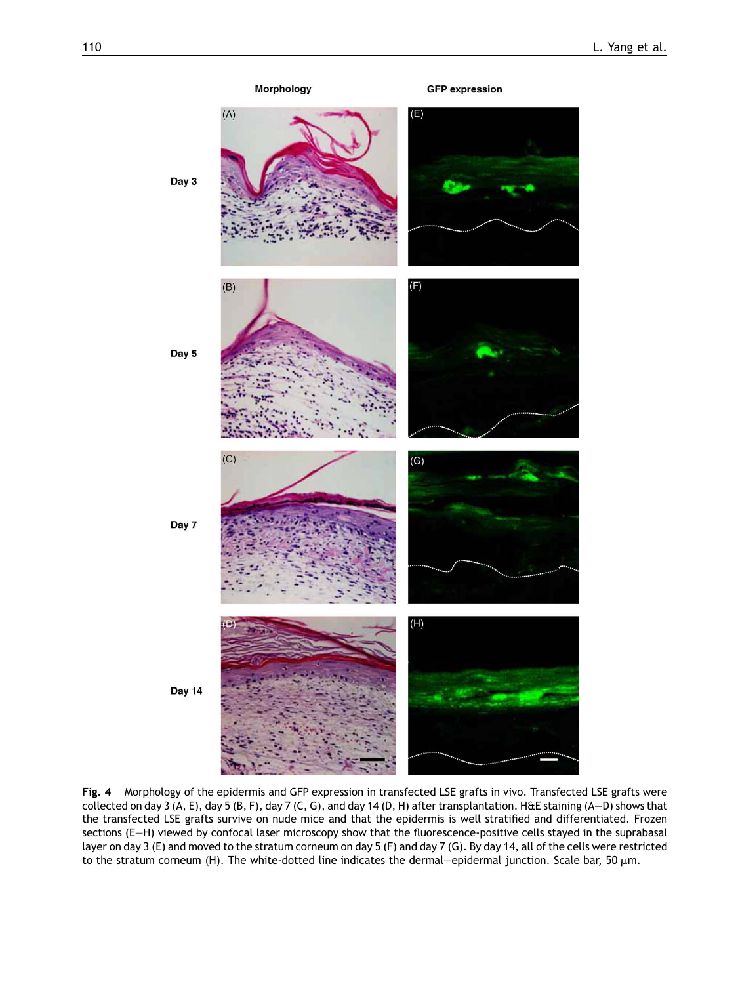<span id="page-5-0"></span>

Fig. 4 Morphology of the epidermis and GFP expression in transfected LSE grafts in vivo. Transfected LSE grafts were collected on day 3 (A, E), day 5 (B, F), day 7 (C, G), and day 14 (D, H) after transplantation. H&E staining (A—D) shows that the transfected LSE grafts survive on nude mice and that the epidermis is well stratified and differentiated. Frozen sections (E-H) viewed by confocal laser microscopy show that the fluorescence-positive cells stayed in the suprabasal layer on day 3 (E) and moved to the stratum corneum on day 5 (F) and day 7 (G). By day 14, all of the cells were restricted to the stratum corneum (H). The white-dotted line indicates the dermal—epidermal junction. Scale bar, 50  $\mu$ m.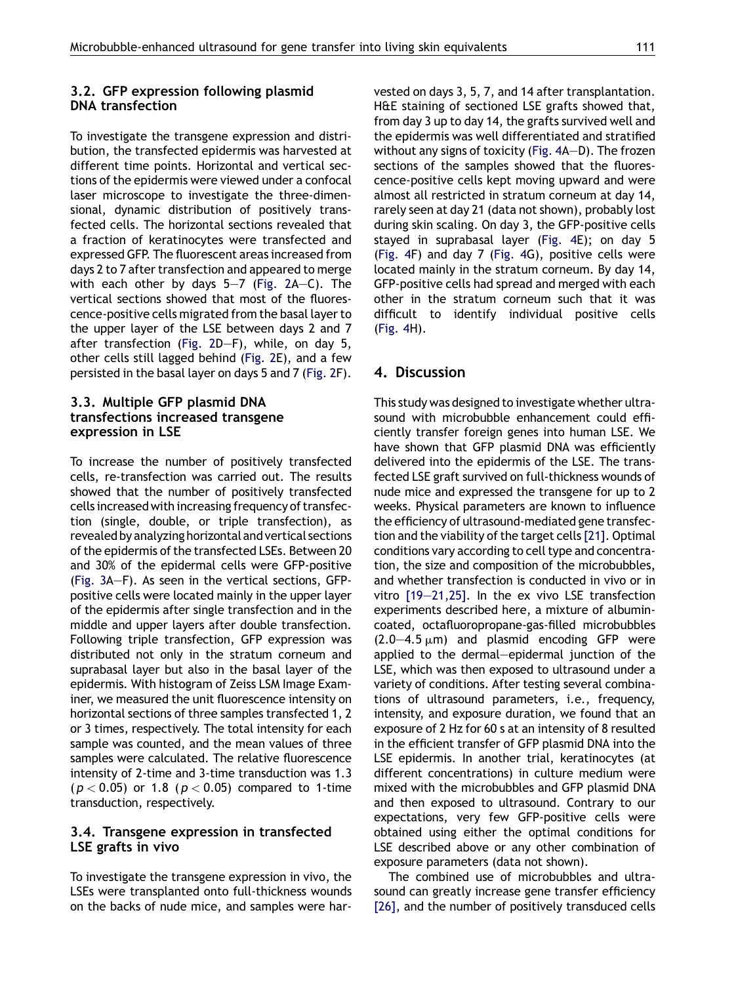## 3.2. GFP expression following plasmid DNA transfection

To investigate the transgene expression and distribution, the transfected epidermis was harvested at different time points. Horizontal and vertical sections of the epidermis were viewed under a confocal laser microscope to investigate the three-dimensional, dynamic distribution of positively transfected cells. The horizontal sections revealed that a fraction of keratinocytes were transfected and expressed GFP. The fluorescent areas increased from days 2 to 7 after transfection and appeared to merge with each other by days  $5-7$  [\(Fig. 2](#page-3-0)A–C). The vertical sections showed that most of the fluorescence-positive cells migrated from the basal layer to the upper layer of the LSE between days 2 and 7 after transfection ([Fig. 2D](#page-3-0)—F), while, on day 5, other cells still lagged behind ([Fig. 2E](#page-3-0)), and a few persisted in the basal layer on days 5 and 7 [\(Fig. 2](#page-3-0)F).

# 3.3. Multiple GFP plasmid DNA transfections increased transgene expression in LSE

To increase the number of positively transfected cells, re-transfection was carried out. The results showed that the number of positively transfected cells increased with increasing frequency of transfection (single, double, or triple transfection), as revealed by analyzing horizontal and vertical sections of the epidermis of the transfected LSEs. Between 20 and 30% of the epidermal cells were GFP-positive [\(Fig. 3A](#page-4-0)—F). As seen in the vertical sections, GFPpositive cells were located mainly in the upper layer of the epidermis after single transfection and in the middle and upper layers after double transfection. Following triple transfection, GFP expression was distributed not only in the stratum corneum and suprabasal layer but also in the basal layer of the epidermis. With histogram of Zeiss LSM Image Examiner, we measured the unit fluorescence intensity on horizontal sections of three samples transfected 1, 2 or 3 times, respectively. The total intensity for each sample was counted, and the mean values of three samples were calculated. The relative fluorescence intensity of 2-time and 3-time transduction was 1.3  $(p < 0.05)$  or 1.8 ( $p < 0.05$ ) compared to 1-time transduction, respectively.

### 3.4. Transgene expression in transfected LSE grafts in vivo

To investigate the transgene expression in vivo, the LSEs were transplanted onto full-thickness wounds on the backs of nude mice, and samples were harvested on days 3, 5, 7, and 14 after transplantation. H&E staining of sectioned LSE grafts showed that, from day 3 up to day 14, the grafts survived well and the epidermis was well differentiated and stratified without any signs of toxicity [\(Fig. 4](#page-5-0)A—D). The frozen sections of the samples showed that the fluorescence-positive cells kept moving upward and were almost all restricted in stratum corneum at day 14, rarely seen at day 21 (data not shown), probably lost during skin scaling. On day 3, the GFP-positive cells stayed in suprabasal layer [\(Fig. 4E](#page-5-0)); on day 5 [\(Fig. 4F](#page-5-0)) and day 7 ([Fig. 4G](#page-5-0)), positive cells were located mainly in the stratum corneum. By day 14, GFP-positive cells had spread and merged with each other in the stratum corneum such that it was difficult to identify individual positive cells [\(Fig. 4H](#page-5-0)).

# 4. Discussion

This study was designed to investigate whether ultrasound with microbubble enhancement could efficiently transfer foreign genes into human LSE. We have shown that GFP plasmid DNA was efficiently delivered into the epidermis of the LSE. The transfected LSE graft survived on full-thickness wounds of nude mice and expressed the transgene for up to 2 weeks. Physical parameters are known to influence the efficiency of ultrasound-mediated gene transfection and the viability of the target cells[\[21\]](#page-8-0). Optimal conditions vary according to cell type and concentration, the size and composition of the microbubbles, and whether transfection is conducted in vivo or in vitro [\[19—21,25\]](#page-8-0). In the ex vivo LSE transfection experiments described here, a mixture of albumincoated, octafluoropropane-gas-filled microbubbles  $(2.0-4.5 \mu m)$  and plasmid encoding GFP were applied to the dermal—epidermal junction of the LSE, which was then exposed to ultrasound under a variety of conditions. After testing several combinations of ultrasound parameters, i.e., frequency, intensity, and exposure duration, we found that an exposure of 2 Hz for 60 s at an intensity of 8 resulted in the efficient transfer of GFP plasmid DNA into the LSE epidermis. In another trial, keratinocytes (at different concentrations) in culture medium were mixed with the microbubbles and GFP plasmid DNA and then exposed to ultrasound. Contrary to our expectations, very few GFP-positive cells were obtained using either the optimal conditions for LSE described above or any other combination of exposure parameters (data not shown).

The combined use of microbubbles and ultrasound can greatly increase gene transfer efficiency [\[26\]](#page-8-0), and the number of positively transduced cells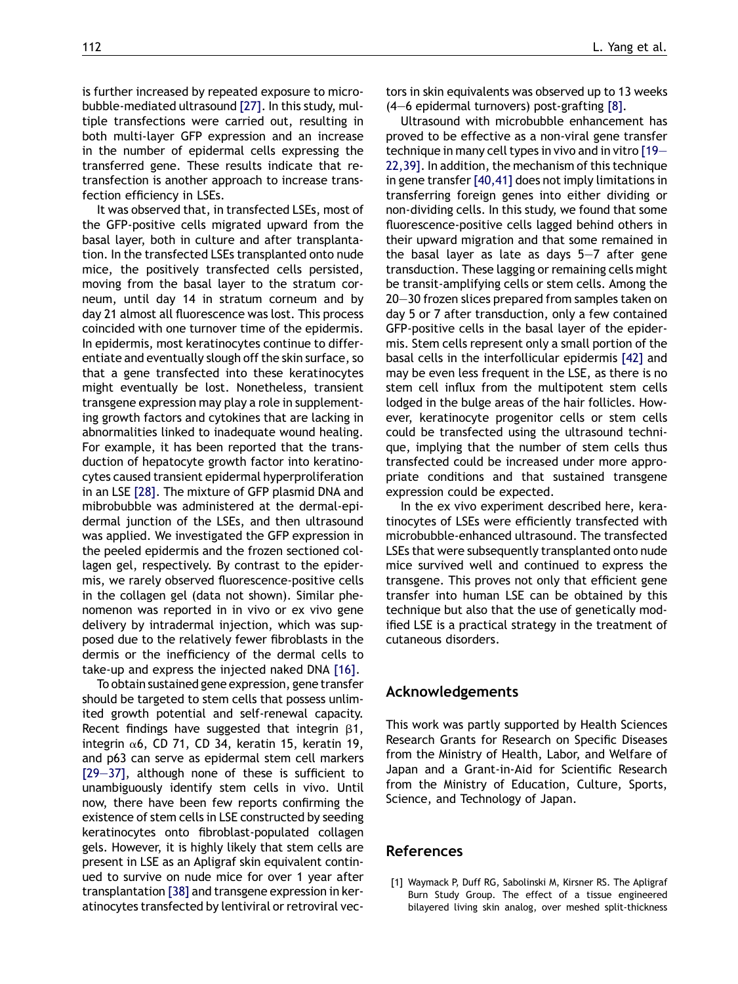<span id="page-7-0"></span>is further increased by repeated exposure to microbubble-mediated ultrasound [\[27\].](#page-8-0) In this study, multiple transfections were carried out, resulting in both multi-layer GFP expression and an increase in the number of epidermal cells expressing the transferred gene. These results indicate that retransfection is another approach to increase transfection efficiency in LSEs.

It was observed that, in transfected LSEs, most of the GFP-positive cells migrated upward from the basal layer, both in culture and after transplantation. In the transfected LSEs transplanted onto nude mice, the positively transfected cells persisted, moving from the basal layer to the stratum corneum, until day 14 in stratum corneum and by day 21 almost all fluorescence was lost. This process coincided with one turnover time of the epidermis. In epidermis, most keratinocytes continue to differentiate and eventually slough off the skin surface, so that a gene transfected into these keratinocytes might eventually be lost. Nonetheless, transient transgene expression may play a role in supplementing growth factors and cytokines that are lacking in abnormalities linked to inadequate wound healing. For example, it has been reported that the transduction of hepatocyte growth factor into keratinocytes caused transient epidermal hyperproliferation in an LSE [\[28\].](#page-8-0) The mixture of GFP plasmid DNA and mibrobubble was administered at the dermal-epidermal junction of the LSEs, and then ultrasound was applied. We investigated the GFP expression in the peeled epidermis and the frozen sectioned collagen gel, respectively. By contrast to the epidermis, we rarely observed fluorescence-positive cells in the collagen gel (data not shown). Similar phenomenon was reported in in vivo or ex vivo gene delivery by intradermal injection, which was supposed due to the relatively fewer fibroblasts in the dermis or the inefficiency of the dermal cells to take-up and express the injected naked DNA [\[16\]](#page-8-0).

To obtain sustained gene expression, gene transfer should be targeted to stem cells that possess unlimited growth potential and self-renewal capacity. Recent findings have suggested that integrin  $\beta$ 1, integrin  $\alpha$ 6, CD 71, CD 34, keratin 15, keratin 19, and p63 can serve as epidermal stem cell markers [\[29—37\]](#page-8-0), although none of these is sufficient to unambiguously identify stem cells in vivo. Until now, there have been few reports confirming the existence of stem cells in LSE constructed by seeding keratinocytes onto fibroblast-populated collagen gels. However, it is highly likely that stem cells are present in LSE as an Apligraf skin equivalent continued to survive on nude mice for over 1 year after transplantation [\[38\]](#page-8-0) and transgene expression in keratinocytes transfected by lentiviral or retroviral vectors in skin equivalents was observed up to 13 weeks (4—6 epidermal turnovers) post-grafting [\[8\]](#page-8-0).

Ultrasound with microbubble enhancement has proved to be effective as a non-viral gene transfer technique in many cell types in vivo and in vitro [\[19—](#page-8-0) [22,39\]](#page-8-0). In addition, the mechanism of this technique in gene transfer [\[40,41\]](#page-9-0) does not imply limitations in transferring foreign genes into either dividing or non-dividing cells. In this study, we found that some fluorescence-positive cells lagged behind others in their upward migration and that some remained in the basal layer as late as days 5—7 after gene transduction. These lagging or remaining cells might be transit-amplifying cells or stem cells. Among the 20—30 frozen slices prepared from samples taken on day 5 or 7 after transduction, only a few contained GFP-positive cells in the basal layer of the epidermis. Stem cells represent only a small portion of the basal cells in the interfollicular epidermis [\[42\]](#page-9-0) and may be even less frequent in the LSE, as there is no stem cell influx from the multipotent stem cells lodged in the bulge areas of the hair follicles. However, keratinocyte progenitor cells or stem cells could be transfected using the ultrasound technique, implying that the number of stem cells thus transfected could be increased under more appropriate conditions and that sustained transgene expression could be expected.

In the ex vivo experiment described here, keratinocytes of LSEs were efficiently transfected with microbubble-enhanced ultrasound. The transfected LSEs that were subsequently transplanted onto nude mice survived well and continued to express the transgene. This proves not only that efficient gene transfer into human LSE can be obtained by this technique but also that the use of genetically modified LSE is a practical strategy in the treatment of cutaneous disorders.

### Acknowledgements

This work was partly supported by Health Sciences Research Grants for Research on Specific Diseases from the Ministry of Health, Labor, and Welfare of Japan and a Grant-in-Aid for Scientific Research from the Ministry of Education, Culture, Sports, Science, and Technology of Japan.

# **References**

[1] Waymack P, Duff RG, Sabolinski M, Kirsner RS. The Apligraf Burn Study Group. The effect of a tissue engineered bilayered living skin analog, over meshed split-thickness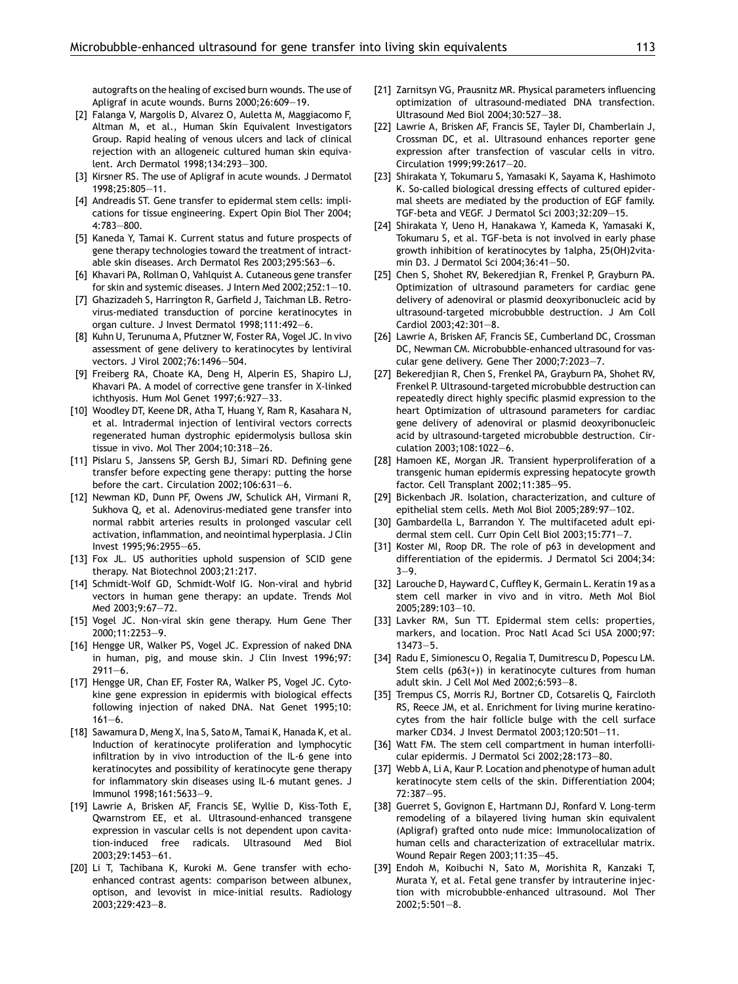<span id="page-8-0"></span>autografts on the healing of excised burn wounds. The use of Apligraf in acute wounds. Burns 2000;26:609—19.

- [2] Falanga V, Margolis D, Alvarez O, Auletta M, Maggiacomo F, Altman M, et al., Human Skin Equivalent Investigators Group. Rapid healing of venous ulcers and lack of clinical rejection with an allogeneic cultured human skin equivalent. Arch Dermatol 1998;134:293—300.
- [3] Kirsner RS. The use of Apligraf in acute wounds. J Dermatol 1998;25:805—11.
- [4] Andreadis ST. Gene transfer to epidermal stem cells: implications for tissue engineering. Expert Opin Biol Ther 2004; 4:783—800.
- [5] Kaneda Y, Tamai K. Current status and future prospects of gene therapy technologies toward the treatment of intractable skin diseases. Arch Dermatol Res 2003;295:S63—6.
- [6] Khavari PA, Rollman O, Vahlquist A. Cutaneous gene transfer for skin and systemic diseases. J Intern Med 2002;252:1—10.
- [7] Ghazizadeh S, Harrington R, Garfield J, Taichman LB. Retrovirus-mediated transduction of porcine keratinocytes in organ culture. J Invest Dermatol 1998;111:492—6.
- [8] Kuhn U, Terunuma A, Pfutzner W, Foster RA, Vogel JC. In vivo assessment of gene delivery to keratinocytes by lentiviral vectors. J Virol 2002;76:1496—504.
- [9] Freiberg RA, Choate KA, Deng H, Alperin ES, Shapiro LJ, Khavari PA. A model of corrective gene transfer in X-linked ichthyosis. Hum Mol Genet 1997;6:927—33.
- [10] Woodley DT, Keene DR, Atha T, Huang Y, Ram R, Kasahara N, et al. Intradermal injection of lentiviral vectors corrects regenerated human dystrophic epidermolysis bullosa skin tissue in vivo. Mol Ther 2004;10:318—26.
- [11] Pislaru S, Janssens SP, Gersh BJ, Simari RD. Defining gene transfer before expecting gene therapy: putting the horse before the cart. Circulation 2002;106:631—6.
- [12] Newman KD, Dunn PF, Owens JW, Schulick AH, Virmani R, Sukhova Q, et al. Adenovirus-mediated gene transfer into normal rabbit arteries results in prolonged vascular cell activation, inflammation, and neointimal hyperplasia. J Clin Invest 1995;96:2955—65.
- [13] Fox JL. US authorities uphold suspension of SCID gene therapy. Nat Biotechnol 2003;21:217.
- [14] Schmidt-Wolf GD, Schmidt-Wolf IG. Non-viral and hybrid vectors in human gene therapy: an update. Trends Mol Med 2003;9:67—72.
- [15] Vogel JC. Non-viral skin gene therapy. Hum Gene Ther 2000;11:2253—9.
- [16] Hengge UR, Walker PS, Vogel JC. Expression of naked DNA in human, pig, and mouse skin. J Clin Invest 1996;97:  $2911 - 6$ .
- [17] Hengge UR, Chan EF, Foster RA, Walker PS, Vogel JC, Cytokine gene expression in epidermis with biological effects following injection of naked DNA. Nat Genet 1995;10:  $161 - 6$ .
- [18] Sawamura D, Meng X, Ina S, Sato M, Tamai K, Hanada K, et al. Induction of keratinocyte proliferation and lymphocytic infiltration by in vivo introduction of the IL-6 gene into keratinocytes and possibility of keratinocyte gene therapy for inflammatory skin diseases using IL-6 mutant genes. J Immunol 1998;161:5633—9.
- [19] Lawrie A, Brisken AF, Francis SE, Wyllie D, Kiss-Toth E, Qwarnstrom EE, et al. Ultrasound-enhanced transgene expression in vascular cells is not dependent upon cavitation-induced free radicals. Ultrasound Med Biol 2003;29:1453—61.
- [20] Li T, Tachibana K, Kuroki M. Gene transfer with echoenhanced contrast agents: comparison between albunex, optison, and levovist in mice-initial results. Radiology 2003;229:423—8.
- [21] Zarnitsyn VG, Prausnitz MR. Physical parameters influencing optimization of ultrasound-mediated DNA transfection. Ultrasound Med Biol 2004;30:527—38.
- [22] Lawrie A, Brisken AF, Francis SE, Tayler DI, Chamberlain J, Crossman DC, et al. Ultrasound enhances reporter gene expression after transfection of vascular cells in vitro. Circulation 1999;99:2617—20.
- [23] Shirakata Y, Tokumaru S, Yamasaki K, Sayama K, Hashimoto K. So-called biological dressing effects of cultured epidermal sheets are mediated by the production of EGF family. TGF-beta and VEGF. J Dermatol Sci 2003;32:209—15.
- [24] Shirakata Y, Ueno H, Hanakawa Y, Kameda K, Yamasaki K, Tokumaru S, et al. TGF-beta is not involved in early phase growth inhibition of keratinocytes by 1alpha, 25(OH)2vitamin D3. J Dermatol Sci 2004;36:41—50.
- [25] Chen S, Shohet RV, Bekeredjian R, Frenkel P, Grayburn PA. Optimization of ultrasound parameters for cardiac gene delivery of adenoviral or plasmid deoxyribonucleic acid by ultrasound-targeted microbubble destruction. J Am Coll Cardiol 2003;42:301—8.
- [26] Lawrie A, Brisken AF, Francis SE, Cumberland DC, Crossman DC, Newman CM. Microbubble-enhanced ultrasound for vascular gene delivery. Gene Ther 2000;7:2023—7.
- [27] Bekeredjian R, Chen S, Frenkel PA, Grayburn PA, Shohet RV, Frenkel P. Ultrasound-targeted microbubble destruction can repeatedly direct highly specific plasmid expression to the heart Optimization of ultrasound parameters for cardiac gene delivery of adenoviral or plasmid deoxyribonucleic acid by ultrasound-targeted microbubble destruction. Circulation 2003;108:1022—6.
- [28] Hamoen KE, Morgan JR. Transient hyperproliferation of a transgenic human epidermis expressing hepatocyte growth factor. Cell Transplant 2002;11:385—95.
- [29] Bickenbach JR. Isolation, characterization, and culture of epithelial stem cells. Meth Mol Biol 2005;289:97—102.
- [30] Gambardella L, Barrandon Y. The multifaceted adult epidermal stem cell. Curr Opin Cell Biol 2003;15:771—7.
- [31] Koster MI, Roop DR. The role of p63 in development and differentiation of the epidermis. J Dermatol Sci 2004;34: 3—9.
- [32] Larouche D, Hayward C, Cuffley K, Germain L. Keratin 19 as a stem cell marker in vivo and in vitro. Meth Mol Biol 2005;289:103—10.
- [33] Lavker RM, Sun TT. Epidermal stem cells: properties, markers, and location. Proc Natl Acad Sci USA 2000;97: 13473—5.
- [34] Radu E, Simionescu O, Regalia T, Dumitrescu D, Popescu LM. Stem cells (p63(+)) in keratinocyte cultures from human adult skin. J Cell Mol Med 2002;6:593—8.
- [35] Trempus CS, Morris RJ, Bortner CD, Cotsarelis Q, Faircloth RS, Reece JM, et al. Enrichment for living murine keratinocytes from the hair follicle bulge with the cell surface marker CD34. J Invest Dermatol 2003;120:501—11.
- [36] Watt FM. The stem cell compartment in human interfollicular epidermis. J Dermatol Sci 2002;28:173—80.
- [37] Webb A, Li A, Kaur P. Location and phenotype of human adult keratinocyte stem cells of the skin. Differentiation 2004; 72:387—95.
- [38] Guerret S, Govignon E, Hartmann DJ, Ronfard V, Long-term remodeling of a bilayered living human skin equivalent (Apligraf) grafted onto nude mice: Immunolocalization of human cells and characterization of extracellular matrix. Wound Repair Regen 2003;11:35—45.
- [39] Endoh M, Koibuchi N, Sato M, Morishita R, Kanzaki T, Murata Y, et al. Fetal gene transfer by intrauterine injection with microbubble-enhanced ultrasound. Mol Ther 2002;5:501—8.